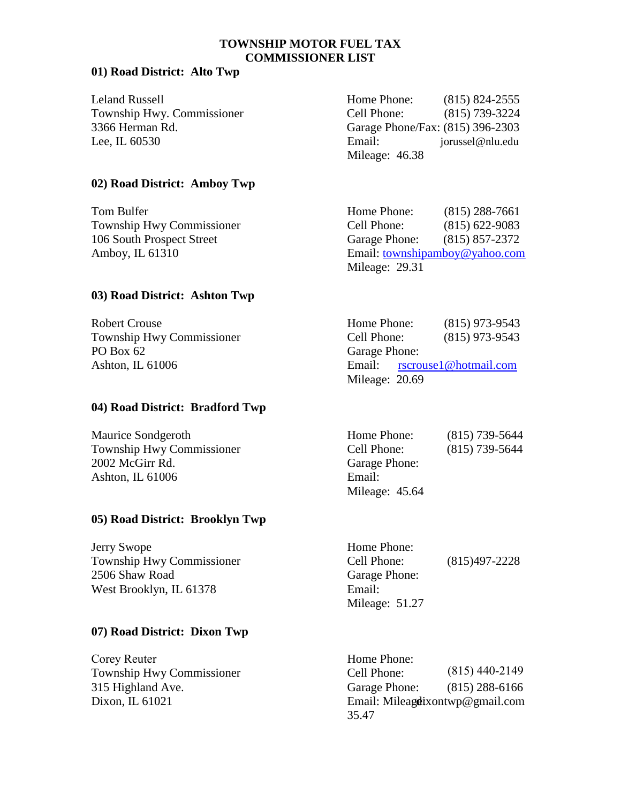# **TOWNSHIP MOTOR FUEL TAX COMMISSIONER LIST**

### **01) Road District: Alto Twp**

| Leland Russell             | Home Phone:                      | $(815)$ 824-2555 |
|----------------------------|----------------------------------|------------------|
| Township Hwy. Commissioner | Cell Phone:                      | $(815)$ 739-3224 |
| 3366 Herman Rd.            | Garage Phone/Fax: (815) 396-2303 |                  |
| Lee, IL 60530              | Email:                           | jorussel@nlu.edu |
|                            | Mileage: 46.38                   |                  |

### **02) Road District: Amboy Twp**

| Tom Bulfer                       | Home Phone:    | $(815)$ 288-7661               |
|----------------------------------|----------------|--------------------------------|
| <b>Township Hwy Commissioner</b> | Cell Phone:    | $(815)$ 622-9083               |
| 106 South Prospect Street        | Garage Phone:  | $(815) 857 - 2372$             |
| Amboy, IL $61310$                |                | Email: townshipamboy@yahoo.com |
|                                  | Mileage: 29.31 |                                |

### **03) Road District: Ashton Twp**

| Robert Crouse                    | Home Phone:    | $(815)$ 973-9543             |
|----------------------------------|----------------|------------------------------|
| <b>Township Hwy Commissioner</b> | Cell Phone:    | $(815)$ 973-9543             |
| PO Box 62                        | Garage Phone:  |                              |
| Ashton, IL $61006$               |                | Email: rscrouse1@hotmail.com |
|                                  | Mileage: 20.69 |                              |

# **04) Road District: Bradford Twp**

| <b>Maurice Sondgeroth</b>        | Home Phone:    | $(815)$ 739-5644 |
|----------------------------------|----------------|------------------|
| <b>Township Hwy Commissioner</b> | Cell Phone:    | $(815)$ 739-5644 |
| 2002 McGirr Rd.                  | Garage Phone:  |                  |
| Ashton, IL $61006$               | Email:         |                  |
|                                  | Mileage: 45.64 |                  |

# **05) Road District: Brooklyn Twp**

| Jerry Swope               | Home Phone:    |                   |
|---------------------------|----------------|-------------------|
| Township Hwy Commissioner | Cell Phone:    | $(815)497 - 2228$ |
| 2506 Shaw Road            | Garage Phone:  |                   |
| West Brooklyn, IL 61378   | Email:         |                   |
|                           | Mileage: 51.27 |                   |

# **07) Road District: Dixon Twp**

Corey Reuter Township Hwy Commissioner 315 Highland Ave.

(815) 288-6166 Dixon, IL 61021 **Email: Mileage** ixontwp@gmail.com Home Phone: Cell Phone: Garage Phone: 35.47 (815) 440-2149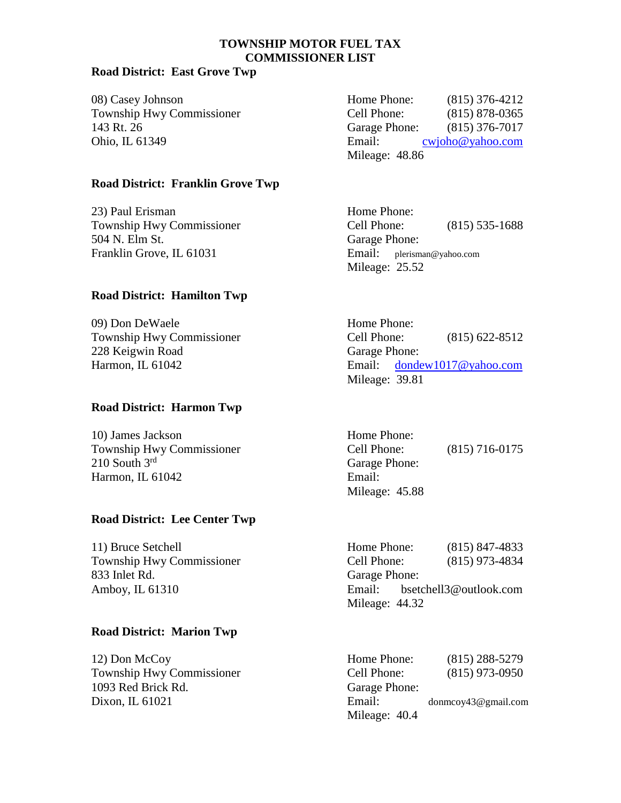# **TOWNSHIP MOTOR FUEL TAX COMMISSIONER LIST**

### **Road District: East Grove Twp**

08) Casey Johnson Home Phone: (815) 376-4212 Township Hwy Commissioner C 143 Rt. 26 Garage Phone: (815) 376-7017 Ohio, IL 61349 Email: cww. Email: cww. Email: cww. Email: cww. Email: cww. Email: cww. Email: cww. Email: cww.

| Home Phone:    | $(815)$ 376-4212   |
|----------------|--------------------|
| Cell Phone:    | $(815) 878 - 0365$ |
| Garage Phone:  | $(815)$ 376-7017   |
| Email:         | cwjoho@yahoo.com   |
| Mileage: 48.86 |                    |

### **Road District: Franklin Grove Twp**

23) Paul Erisman Home Phone: Township Hwy Commissioner Cell Phone: (815) 535-1688 504 N. Elm St. Garage Phone: Franklin Grove, IL 61031 Email: plerisman@yahoo.com

### **Road District: Hamilton Twp**

| 09) Don DeWaele                  | Home Phone:    |                                             |
|----------------------------------|----------------|---------------------------------------------|
| <b>Township Hwy Commissioner</b> | Cell Phone:    | $(815)$ 622-8512                            |
| 228 Keigwin Road                 | Garage Phone:  |                                             |
| Harmon, IL 61042                 |                | Email: $\frac{1}{2}$ dondew 1017@ yahoo.com |
|                                  | $Milq^2$ 20.91 |                                             |

# **Road District: Harmon Twp**

| 10) James Jackson           | Home Phone:             |                  |
|-----------------------------|-------------------------|------------------|
| Township Hwy Commissioner   | Cell Phone:             | $(815)$ 716-0175 |
| $210$ South $3^{\text{rd}}$ | Garage Phone:           |                  |
| Harmon, IL 61042            | Email:                  |                  |
|                             | $M:1_{0.001}$ , $45.00$ |                  |

# **Road District: Lee Center Twp**

833 Inlet Rd. Garage Phone:

#### **Road District: Marion Twp**

1093 Red Brick Rd. Garage Phone:

Mileage: 25.52

Mileage: 39.81

| Home Phone:    |                  |
|----------------|------------------|
| Cell Phone:    | $(815)$ 716-0175 |
| Garage Phone:  |                  |
| Email:         |                  |
| Mileage: 45.88 |                  |

11) Bruce Setchell Home Phone: (815) 847-4833 Township Hwy Commissioner Cell Phone: (815) 973-4834 Amboy, IL 61310 Email: bsetchell3@outlook.com Mileage: 44.32

12) Don McCoy Home Phone: (815) 288-5279 Township Hwy Commissioner Cell Phone: (815) 973-0950 Dixon, IL 61021 Email: donmcoy43@gmail.com Mileage: 40.4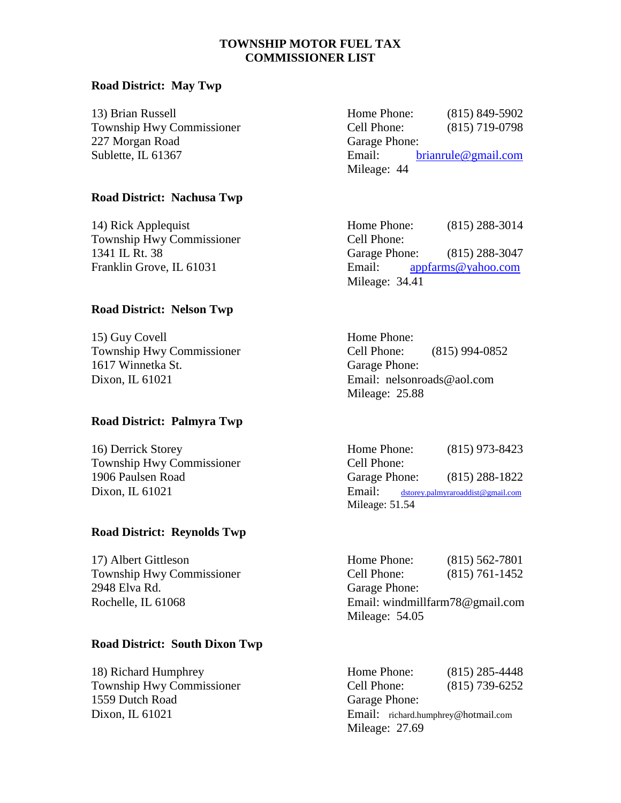# **TOWNSHIP MOTOR FUEL TAX COMMISSIONER LIST**

#### **Road District: May Twp**

| 13) Brian Russell                | Home Phone:   | $(815)$ 849-5902        |
|----------------------------------|---------------|-------------------------|
| <b>Township Hwy Commissioner</b> | Cell Phone:   | $(815)$ 719-0798        |
| 227 Morgan Road                  | Garage Phone: |                         |
| Sublette, IL 61367               | Email:        | brian rule @ granil.com |
|                                  | Mileage: 44   |                         |

### **Road District: Nachusa Twp**

Township Hwy Commissioner Cell Phone:

#### **Road District: Nelson Twp**

| 15) Guy Covell                   | Home Phone:                 |                |
|----------------------------------|-----------------------------|----------------|
| <b>Township Hwy Commissioner</b> | Cell Phone:                 | (815) 994-0852 |
| 1617 Winnetka St.                | Garage Phone:               |                |
| Dixon, IL 61021                  | Email: nelsonroads@aol.com  |                |
|                                  | $M_{i}$ $_{0.000}$ , $2500$ |                |

#### **Road District: Palmyra Twp**

| 16) Derrick Storey        | Home Phone:   | $(815)$ 973-8423                     |
|---------------------------|---------------|--------------------------------------|
| Township Hwy Commissioner | Cell Phone:   |                                      |
| 1906 Paulsen Road         | Garage Phone: | $(815)$ 288-1822                     |
| Dixon, IL 61021           | Email:        | $dstorey$ .palmyraroaddist@gmail.com |
|                           |               |                                      |

### **Road District: Reynolds Twp**

| 17) Albert Gittleson      | Home Phone:   | $(815)$ 562-7801                |  |
|---------------------------|---------------|---------------------------------|--|
| Township Hwy Commissioner | Cell Phone:   | $(815) 761 - 1452$              |  |
| 2948 Elva Rd.             | Garage Phone: |                                 |  |
| Rochelle, IL 61068        |               | Email: windmillfarm78@gmail.com |  |
|                           |               |                                 |  |

# **Road District: South Dixon Twp**

1559 Dutch Road Garage Phone:

14) Rick Applequist Home Phone: (815) 288-3014 1341 IL Rt. 38 Garage Phone: (815) 288-3047 Franklin Grove, IL 61031 Email: [appfarms@yahoo.com](mailto:appfarms@yahoo.com) Mileage: 34.41

Mileage: 25.88

| Home Phone:    | $(815)$ 973-8423                  |
|----------------|-----------------------------------|
| Cell Phone:    |                                   |
| Garage Phone:  | $(815)$ 288-1822                  |
| Email:         | dstorey.palmyraroaddist@gmail.com |
| Mileage: 51.54 |                                   |

| Home Phone:                     | $(815) 562 - 7801$ |
|---------------------------------|--------------------|
| Cell Phone:                     | $(815) 761 - 1452$ |
| Garage Phone:                   |                    |
| Email: windmillfarm78@gmail.com |                    |
| Mileage: 54.05                  |                    |

18) Richard Humphrey Home Phone: (815) 285-4448 Township Hwy Commissioner Cell Phone: (815) 739-6252 Dixon, IL 61021 Email: richard.humphrey@hotmail.com Mileage: 27.69